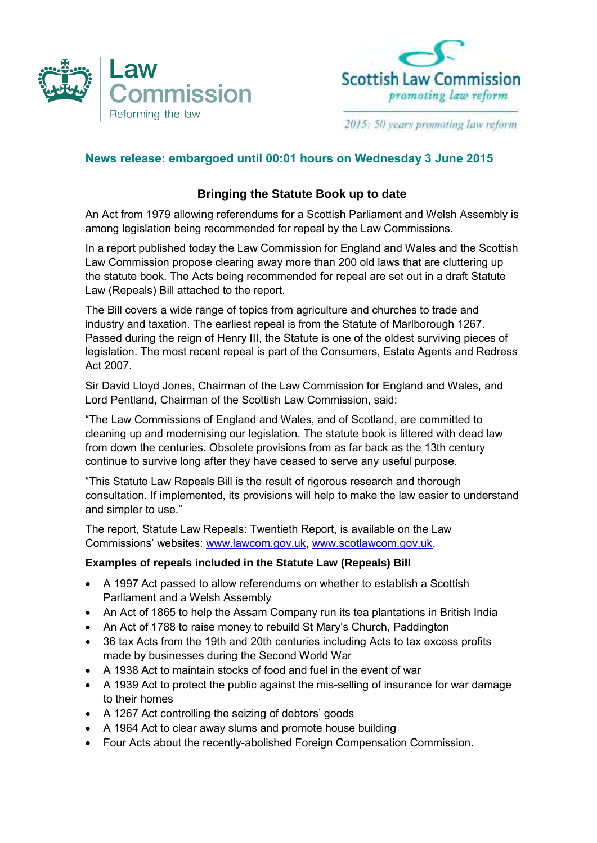



2015: 50 years promoting law reform

## **News release: embargoed until 00:01 hours on Wednesday 3 June 2015**

## **Bringing the Statute Book up to date**

 An Act from 1979 allowing referendums for a Scottish Parliament and Welsh Assembly is among legislation being recommended for repeal by the Law Commissions.

 In a report published today the Law Commission for England and Wales and the Scottish Law Commission propose clearing away more than 200 old laws that are cluttering up the statute book. The Acts being recommended for repeal are set out in a draft Statute Law (Repeals) Bill attached to the report.

 The Bill covers a wide range of topics from agriculture and churches to trade and industry and taxation. The earliest repeal is from the Statute of Marlborough 1267. Passed during the reign of Henry III, the Statute is one of the oldest surviving pieces of legislation. The most recent repeal is part of the Consumers, Estate Agents and Redress Act 2007.

 Sir David Lloyd Jones, Chairman of the Law Commission for England and Wales, and Lord Pentland, Chairman of the Scottish Law Commission, said:

 "The Law Commissions of England and Wales, and of Scotland, are committed to cleaning up and modernising our legislation. The statute book is littered with dead law from down the centuries. Obsolete provisions from as far back as the 13th century continue to survive long after they have ceased to serve any useful purpose.

 "This Statute Law Repeals Bill is the result of rigorous research and thorough consultation. If implemented, its provisions will help to make the law easier to understand and simpler to use."

 The report, Statute Law Repeals: Twentieth Report, is available on the Law Commissions' websites: [www.lawcom.gov.uk,](http://www.lawcom.gov.uk/) [www.scotlawcom.gov.uk.](http://www.scotlawcom.gov.uk/)

## **Examples of repeals included in the Statute Law (Repeals) Bill**

- A 1997 Act passed to allow referendums on whether to establish a Scottish Parliament and a Welsh Assembly
- An Act of 1865 to help the Assam Company run its tea plantations in British India
- An Act of 1788 to raise money to rebuild St Mary's Church, Paddington
- 36 tax Acts from the 19th and 20th centuries including Acts to tax excess profits made by businesses during the Second World War
- A 1938 Act to maintain stocks of food and fuel in the event of war
- A 1939 Act to protect the public against the mis-selling of insurance for war damage to their homes
- A 1267 Act controlling the seizing of debtors' goods
- A 1964 Act to clear away slums and promote house building
- Four Acts about the recently-abolished Foreign Compensation Commission.